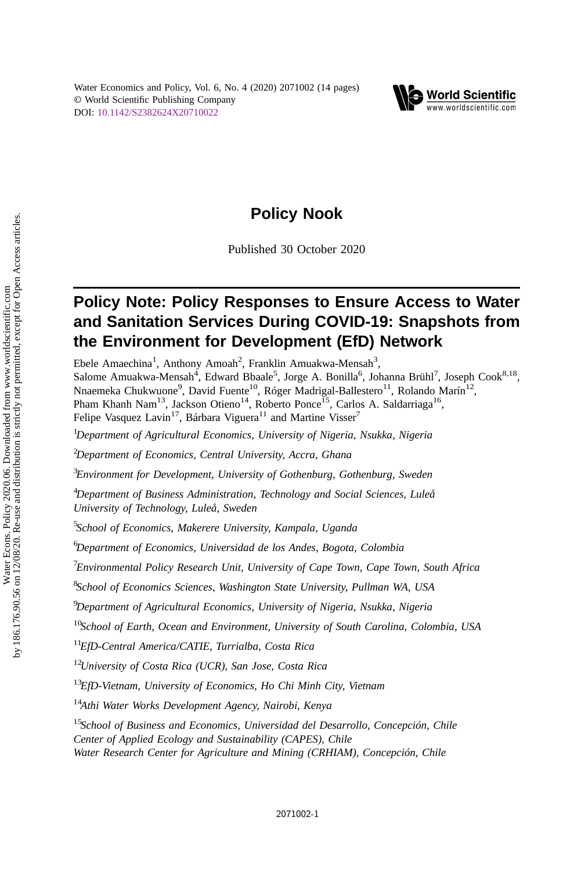

# Policy Nook

Published 30 October 2020

# Policy Note: Policy Responses to Ensure Access to Water and Sanitation Services During COVID-19: Snapshots from the Environment for Development (EfD) Network

Ebele Amaechina<sup>1</sup>, Anthony Amoah<sup>2</sup>, Franklin Amuakwa-Mensah<sup>3</sup>, Salome Amuakwa-Mensah<sup>4</sup>, Edward Bbaale<sup>5</sup>, Jorge A. Bonilla<sup>6</sup>, Johanna Brühl<sup>7</sup>, Joseph Cook<sup>8,18</sup>, Nnaemeka Chukwuone<sup>9</sup>, David Fuente<sup>10</sup>, Róger Madrigal-Ballestero<sup>11</sup>, Rolando Marín<sup>12</sup>, Pham Khanh Nam<sup>13</sup>, Jackson Otieno<sup>14</sup>, Roberto Ponce<sup>15</sup>, Carlos A. Saldarriaga<sup>16</sup>, Felipe Vasquez Lavin<sup>17</sup>, Bárbara Viguera<sup>11</sup> and Martine Visser<sup>7</sup>  $^{1}$ Department of Agricultural Economics, University of Nigeria, Nsukka, Nigeria  $^{2}$ Department of Economics, Central University, Accra, Ghana  $^3$ Environment for Development, University of Gothenburg, Gothenburg, Sweden <sup>4</sup>Department of Business Administration, Technology and Social Sciences, Luleå University of Technology, Luleå, Sweden <sup>5</sup>School of Economics, Makerere University, Kampala, Uganda <sup>6</sup>Department of Economics, Universidad de los Andes, Bogota, Colombia  $^7$ Environmental Policy Research Unit, University of Cape Town, Cape Town, South Africa <sup>8</sup>School of Economics Sciences, Washington State University, Pullman WA, USA <sup>9</sup>Department of Agricultural Economics, University of Nigeria, Nsukka, Nigeria  $10$ School of Earth, Ocean and Environment, University of South Carolina, Colombia, USA <sup>11</sup>EfD-Central America/CATIE, Turrialba, Costa Rica  $12$ University of Costa Rica (UCR), San Jose, Costa Rica  $13$ EfD-Vietnam, University of Economics, Ho Chi Minh City, Vietnam <sup>14</sup>Athi Water Works Development Agency, Nairobi, Kenya <sup>15</sup>School of Business and Economics, Universidad del Desarrollo, Concepción, Chile

Center of Applied Ecology and Sustainability (CAPES), Chile

Water Research Center for Agriculture and Mining (CRHIAM), Concepción, Chile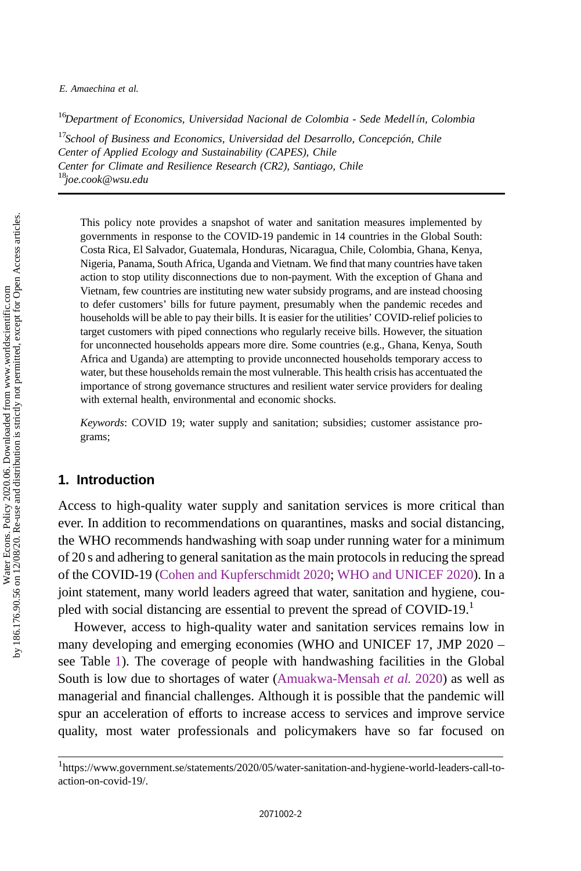E. Amaechina et al.

 $^{16}$ Department of Economics, Universidad Nacional de Colombia - Sede Medellín, Colombia

 $17$ School of Business and Economics, Universidad del Desarrollo, Concepción, Chile Center of Applied Ecology and Sustainability (CAPES), Chile Center for Climate and Resilience Research (CR2), Santiago, Chile <sup>18</sup>joe.cook@wsu.edu

This policy note provides a snapshot of water and sanitation measures implemented by governments in response to the COVID-19 pandemic in 14 countries in the Global South: Costa Rica, El Salvador, Guatemala, Honduras, Nicaragua, Chile, Colombia, Ghana, Kenya, Nigeria, Panama, South Africa, Uganda and Vietnam. We find that many countries have taken action to stop utility disconnections due to non-payment. With the exception of Ghana and Vietnam, few countries are instituting new water subsidy programs, and are instead choosing to defer customers' bills for future payment, presumably when the pandemic recedes and households will be able to pay their bills. It is easier for the utilities' COVID-relief policies to target customers with piped connections who regularly receive bills. However, the situation for unconnected households appears more dire. Some countries (e.g., Ghana, Kenya, South Africa and Uganda) are attempting to provide unconnected households temporary access to water, but these households remain the most vulnerable. This health crisis has accentuated the importance of strong governance structures and resilient water service providers for dealing with external health, environmental and economic shocks.

Keywords: COVID 19; water supply and sanitation; subsidies; customer assistance programs;

### 1. Introduction

Access to high-quality water supply and sanitation services is more critical than ever. In addition to recommendations on quarantines, masks and social distancing, the WHO recommends handwashing with soap under running water for a minimum of 20 s and adhering to general sanitation as the main protocols in reducing the spread of the COVID-19 ([Cohen and Kupferschmidt 2020](#page-11-0); [WHO and UNICEF 2020\)](#page-13-0). In a joint statement, many world leaders agreed that water, sanitation and hygiene, coupled with social distancing are essential to prevent the spread of  $COVID-19<sup>1</sup>$ 

However, access to high-quality water and sanitation services remains low in many developing and emerging economies (WHO and UNICEF 17, JMP 2020 – see Table [1](#page-2-0)). The coverage of people with handwashing facilities in the Global South is low due to shortages of water ([Amuakwa-Mensah](#page-11-0) et al. [2020\)](#page-11-0) as well as managerial and financial challenges. Although it is possible that the pandemic will spur an acceleration of efforts to increase access to services and improve service quality, most water professionals and policymakers have so far focused on

<sup>&</sup>lt;sup>1</sup>https://www.government.se/statements/2020/05/water-sanitation-and-hygiene-world-leaders-call-toaction-on-covid-19/.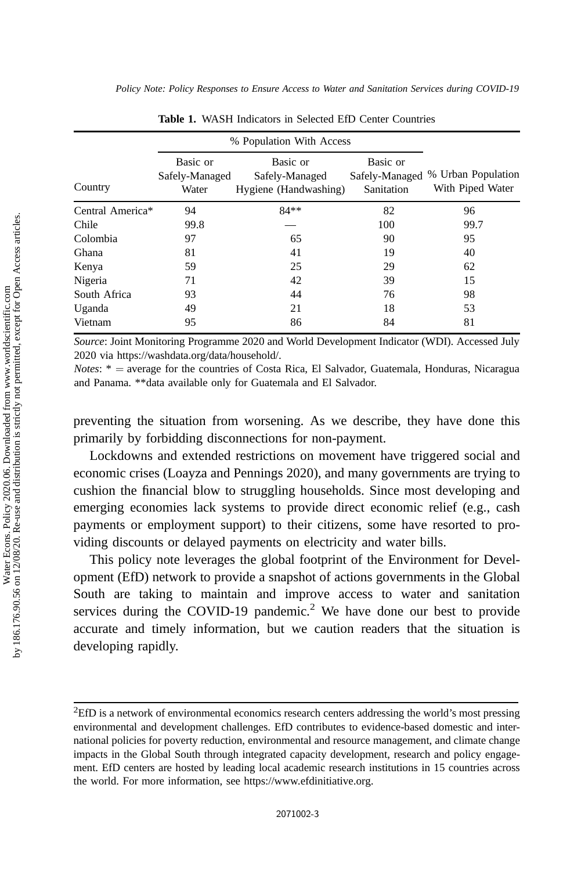<span id="page-2-0"></span>Policy Note: Policy Responses to Ensure Access to Water and Sanitation Services during COVID-19

|                  |                                     | % Population With Access                            |                        |                                                       |
|------------------|-------------------------------------|-----------------------------------------------------|------------------------|-------------------------------------------------------|
| Country          | Basic or<br>Safely-Managed<br>Water | Basic or<br>Safely-Managed<br>Hygiene (Handwashing) | Basic or<br>Sanitation | Safely-Managed % Urban Population<br>With Piped Water |
| Central America* | 94                                  | $84**$                                              | 82                     | 96                                                    |
| Chile            | 99.8                                |                                                     | 100                    | 99.7                                                  |
| Colombia         | 97                                  | 65                                                  | 90                     | 95                                                    |
| Ghana            | 81                                  | 41                                                  | 19                     | 40                                                    |
| Kenya            | 59                                  | 25                                                  | 29                     | 62                                                    |
| Nigeria          | 71                                  | 42                                                  | 39                     | 15                                                    |
| South Africa     | 93                                  | 44                                                  | 76                     | 98                                                    |
| Uganda           | 49                                  | 21                                                  | 18                     | 53                                                    |
| Vietnam          | 95                                  | 86                                                  | 84                     | 81                                                    |

Table 1. WASH Indicators in Selected EfD Center Countries

Source: Joint Monitoring Programme 2020 and World Development Indicator (WDI). Accessed July 2020 via https://washdata.org/data/household/.

*Notes*:  $* =$  average for the countries of Costa Rica, El Salvador, Guatemala, Honduras, Nicaragua and Panama. \*\*data available only for Guatemala and El Salvador.

preventing the situation from worsening. As we describe, they have done this primarily by forbidding disconnections for non-payment.

Lockdowns and extended restrictions on movement have triggered social and economic crises (Loayza and Pennings 2020), and many governments are trying to cushion the financial blow to struggling households. Since most developing and emerging economies lack systems to provide direct economic relief (e.g., cash payments or employment support) to their citizens, some have resorted to providing discounts or delayed payments on electricity and water bills.

This policy note leverages the global footprint of the Environment for Development (EfD) network to provide a snapshot of actions governments in the Global South are taking to maintain and improve access to water and sanitation services during the COVID-19 pandemic.<sup>2</sup> We have done our best to provide accurate and timely information, but we caution readers that the situation is developing rapidly.

 ${}^{2}$ EfD is a network of environmental economics research centers addressing the world's most pressing environmental and development challenges. EfD contributes to evidence-based domestic and international policies for poverty reduction, environmental and resource management, and climate change impacts in the Global South through integrated capacity development, research and policy engagement. EfD centers are hosted by leading local academic research institutions in 15 countries across the world. For more information, see https://www.efdinitiative.org.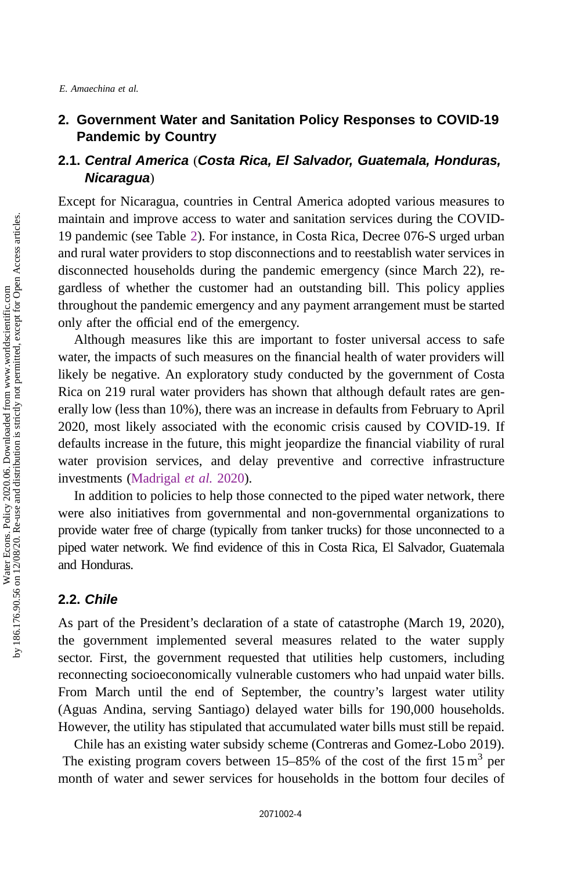# 2. Government Water and Sanitation Policy Responses to COVID-19 Pandemic by Country

# 2.1. Central America (Costa Rica, El Salvador, Guatemala, Honduras, Nicaragua)

Except for Nicaragua, countries in Central America adopted various measures to maintain and improve access to water and sanitation services during the COVID-19 pandemic (see Table [2](#page-4-0)). For instance, in Costa Rica, Decree 076-S urged urban and rural water providers to stop disconnections and to reestablish water services in disconnected households during the pandemic emergency (since March 22), regardless of whether the customer had an outstanding bill. This policy applies throughout the pandemic emergency and any payment arrangement must be started only after the official end of the emergency.

Although measures like this are important to foster universal access to safe water, the impacts of such measures on the financial health of water providers will likely be negative. An exploratory study conducted by the government of Costa Rica on 219 rural water providers has shown that although default rates are generally low (less than 10%), there was an increase in defaults from February to April 2020, most likely associated with the economic crisis caused by COVID-19. If defaults increase in the future, this might jeopardize the financial viability of rural water provision services, and delay preventive and corrective infrastructure investments ([Madrigal](#page-12-0) et al. [2020](#page-12-0)).

In addition to policies to help those connected to the piped water network, there were also initiatives from governmental and non-governmental organizations to provide water free of charge (typically from tanker trucks) for those unconnected to a piped water network. We find evidence of this in Costa Rica, El Salvador, Guatemala and Honduras.

### 2.2. Chile

As part of the President's declaration of a state of catastrophe (March 19, 2020), the government implemented several measures related to the water supply sector. First, the government requested that utilities help customers, including reconnecting socioeconomically vulnerable customers who had unpaid water bills. From March until the end of September, the country's largest water utility (Aguas Andina, serving Santiago) delayed water bills for 190,000 households. However, the utility has stipulated that accumulated water bills must still be repaid.

Chile has an existing water subsidy scheme (Contreras and Gomez-Lobo 2019). The existing program covers between  $15-85%$  of the cost of the first  $15 \text{ m}^3$  per month of water and sewer services for households in the bottom four deciles of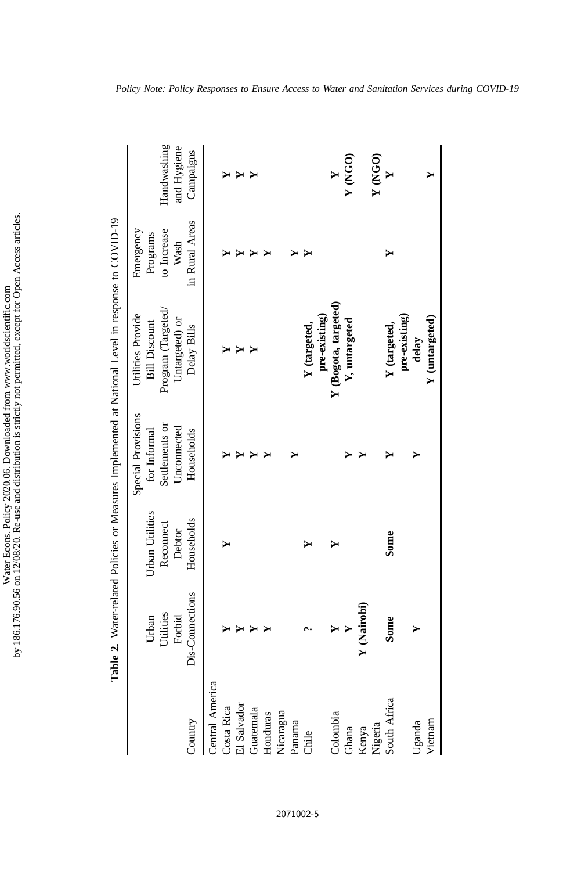| a una and distribution is structly not parmitted avecant for Linen Accos arral<br>i<br>ì<br>-<br>-<br>-<br>مطلعتهم كد<br>nsm mm asn-<br>$20113.1$ and $1011$ and $401$ and $401$<br>$\sim$ $\sim$ $\sim$ $\sim$ $\sim$ $\sim$<br>he 196.176.00 56 on 12/09/20 <b>D</b> s.<br>$-2$ $-2$ $-2$ $-2$ $-2$ $-2$ |
|------------------------------------------------------------------------------------------------------------------------------------------------------------------------------------------------------------------------------------------------------------------------------------------------------------|
|------------------------------------------------------------------------------------------------------------------------------------------------------------------------------------------------------------------------------------------------------------------------------------------------------------|

<span id="page-4-0"></span>

|                        |                              |                                        |                                                                     | Table 2. Water-related Policies or Measures Implemented at National Level in response to COVID-19 |                                              |                            |
|------------------------|------------------------------|----------------------------------------|---------------------------------------------------------------------|---------------------------------------------------------------------------------------------------|----------------------------------------------|----------------------------|
|                        | Utilities<br>Forbid<br>Urban | Urban Utilities<br>Reconnect<br>Debtor | Special Provisions<br>Settlements or<br>Unconnected<br>for Informal | Program (Targeted/<br>Utilities Provide<br>Untargeted) or<br><b>Bill Discount</b>                 | to Increase<br>Emergency<br>Programs<br>Wash | Handwashing<br>and Hygiene |
| Country                | Dis-Connections              | Households                             | Households                                                          | Delay Bills                                                                                       | in Rural Areas                               | Campaigns                  |
| <b>Central America</b> |                              |                                        |                                                                     |                                                                                                   |                                              |                            |
| Costa Rica             |                              |                                        |                                                                     |                                                                                                   |                                              |                            |
| El Salvador            |                              |                                        |                                                                     |                                                                                                   |                                              |                            |
| Guatemala              |                              |                                        |                                                                     |                                                                                                   |                                              | ≻                          |
| Honduras               |                              |                                        |                                                                     |                                                                                                   |                                              |                            |
| Nicaragua              |                              |                                        |                                                                     |                                                                                                   |                                              |                            |
| Panama                 |                              |                                        |                                                                     |                                                                                                   |                                              |                            |
| Chile                  |                              |                                        |                                                                     | Y (targeted,                                                                                      |                                              |                            |
|                        |                              |                                        |                                                                     | pre-existing)                                                                                     |                                              |                            |
| Colombia               |                              |                                        |                                                                     | Y (Bogota, targeted)                                                                              |                                              |                            |
| Ghana                  | Y                            |                                        |                                                                     | Y, untargeted                                                                                     |                                              | Y (NGO)                    |
| Kenya                  | Y (Nairobi)                  |                                        |                                                                     |                                                                                                   |                                              |                            |
| Nigeria                |                              |                                        |                                                                     |                                                                                                   |                                              | Y (NGO)                    |
| South Africa           | Some                         | Some                                   |                                                                     | Y (targeted,                                                                                      |                                              |                            |
|                        |                              |                                        |                                                                     | pre-existing)                                                                                     |                                              |                            |
| Uganda                 |                              |                                        |                                                                     | delay                                                                                             |                                              |                            |
| Vietnam                |                              |                                        |                                                                     | Y (untargeted)                                                                                    |                                              |                            |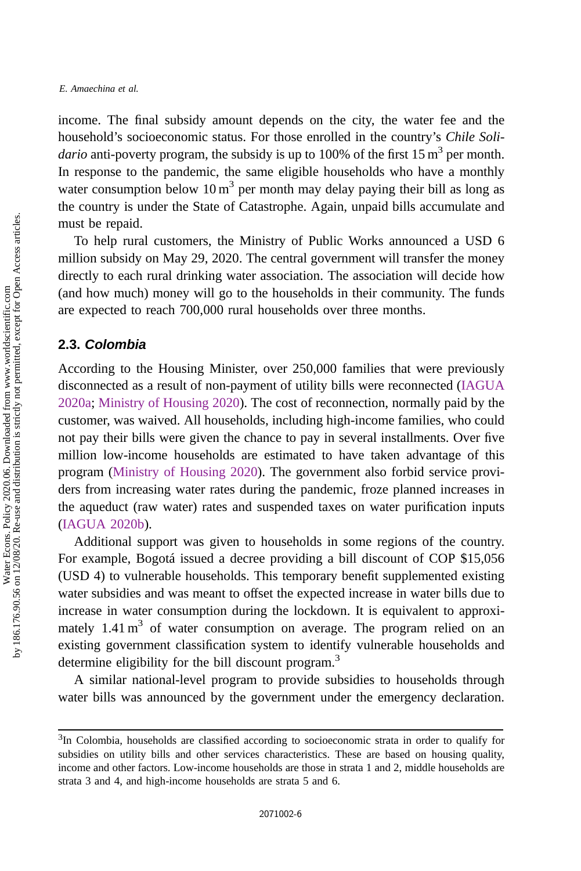income. The final subsidy amount depends on the city, the water fee and the household's socioeconomic status. For those enrolled in the country's Chile Soli*dario* anti-poverty program, the subsidy is up to 100% of the first 15  $m<sup>3</sup>$  per month. In response to the pandemic, the same eligible households who have a monthly water consumption below 10  $m<sup>3</sup>$  per month may delay paying their bill as long as the country is under the State of Catastrophe. Again, unpaid bills accumulate and must be repaid.

To help rural customers, the Ministry of Public Works announced a USD 6 million subsidy on May 29, 2020. The central government will transfer the money directly to each rural drinking water association. The association will decide how (and how much) money will go to the households in their community. The funds are expected to reach 700,000 rural households over three months.

#### 2.3. Colombia

According to the Housing Minister, over 250,000 families that were previously disconnected as a result of non-payment of utility bills were reconnected ([IAGUA](#page-12-0) [2020a](#page-12-0); [Ministry of Housing 2020](#page-12-0)). The cost of reconnection, normally paid by the customer, was waived. All households, including high-income families, who could not pay their bills were given the chance to pay in several installments. Over five million low-income households are estimated to have taken advantage of this program ([Ministry of Housing 2020\)](#page-12-0). The government also forbid service providers from increasing water rates during the pandemic, froze planned increases in the aqueduct (raw water) rates and suspended taxes on water purification inputs [\(IAGUA 2020b](#page-12-0)).

Additional support was given to households in some regions of the country. For example, Bogotá issued a decree providing a bill discount of COP \$15,056 (USD 4) to vulnerable households. This temporary benefit supplemented existing water subsidies and was meant to offset the expected increase in water bills due to increase in water consumption during the lockdown. It is equivalent to approximately  $1.41 \text{ m}^3$  of water consumption on average. The program relied on an existing government classification system to identify vulnerable households and determine eligibility for the bill discount program.<sup>3</sup>

A similar national-level program to provide subsidies to households through water bills was announced by the government under the emergency declaration.

<sup>&</sup>lt;sup>3</sup>In Colombia, households are classified according to socioeconomic strata in order to qualify for subsidies on utility bills and other services characteristics. These are based on housing quality, income and other factors. Low-income households are those in strata 1 and 2, middle households are strata 3 and 4, and high-income households are strata 5 and 6.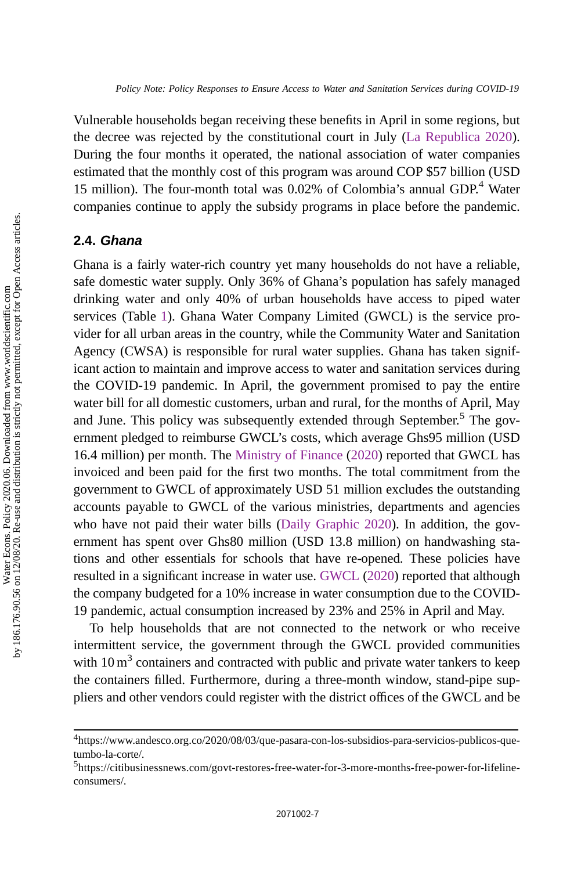Vulnerable households began receiving these benefits in April in some regions, but the decree was rejected by the constitutional court in July ([La Republica 2020](#page-12-0)). During the four months it operated, the national association of water companies estimated that the monthly cost of this program was around COP \$57 billion (USD 15 million). The four-month total was 0.02% of Colombia's annual GDP.<sup>4</sup> Water companies continue to apply the subsidy programs in place before the pandemic.

## 2.4. Ghana

Ghana is a fairly water-rich country yet many households do not have a reliable, safe domestic water supply. Only 36% of Ghana's population has safely managed drinking water and only 40% of urban households have access to piped water services (Table [1](#page-2-0)). Ghana Water Company Limited (GWCL) is the service provider for all urban areas in the country, while the Community Water and Sanitation Agency (CWSA) is responsible for rural water supplies. Ghana has taken significant action to maintain and improve access to water and sanitation services during the COVID-19 pandemic. In April, the government promised to pay the entire water bill for all domestic customers, urban and rural, for the months of April, May and June. This policy was subsequently extended through September.<sup>5</sup> The government pledged to reimburse GWCL's costs, which average Ghs95 million (USD 16.4 million) per month. The [Ministry of Finance](#page-12-0) ([2020\)](#page-12-0) reported that GWCL has invoiced and been paid for the first two months. The total commitment from the government to GWCL of approximately USD 51 million excludes the outstanding accounts payable to GWCL of the various ministries, departments and agencies who have not paid their water bills [\(Daily Graphic 2020\)](#page-11-0). In addition, the government has spent over Ghs80 million (USD 13.8 million) on handwashing stations and other essentials for schools that have re-opened. These policies have resulted in a significant increase in water use. [GWCL](#page-11-0) [\(2020\)](#page-11-0) reported that although the company budgeted for a 10% increase in water consumption due to the COVID-19 pandemic, actual consumption increased by 23% and 25% in April and May.

To help households that are not connected to the network or who receive intermittent service, the government through the GWCL provided communities with  $10 \text{ m}^3$  containers and contracted with public and private water tankers to keep the containers filled. Furthermore, during a three-month window, stand-pipe suppliers and other vendors could register with the district offices of the GWCL and be

<sup>4</sup> https://www.andesco.org.co/2020/08/03/que-pasara-con-los-subsidios-para-servicios-publicos-quetumbo-la-corte/.

<sup>&</sup>lt;sup>5</sup>https://citibusinessnews.com/govt-restores-free-water-for-3-more-months-free-power-for-lifelineconsumers/.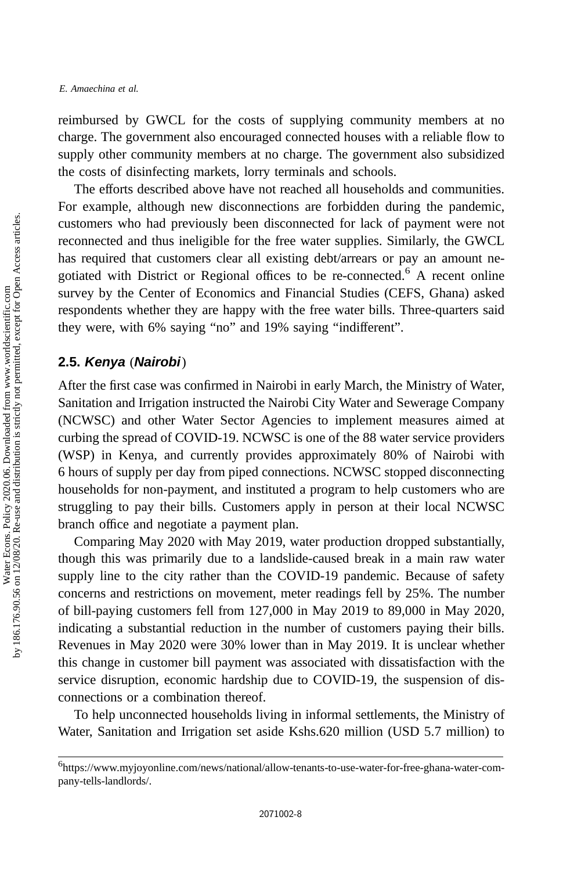reimbursed by GWCL for the costs of supplying community members at no charge. The government also encouraged connected houses with a reliable flow to supply other community members at no charge. The government also subsidized the costs of disinfecting markets, lorry terminals and schools.

The efforts described above have not reached all households and communities. For example, although new disconnections are forbidden during the pandemic, customers who had previously been disconnected for lack of payment were not reconnected and thus ineligible for the free water supplies. Similarly, the GWCL has required that customers clear all existing debt/arrears or pay an amount negotiated with District or Regional offices to be re-connected.<sup>6</sup> A recent online survey by the Center of Economics and Financial Studies (CEFS, Ghana) asked respondents whether they are happy with the free water bills. Three-quarters said they were, with 6% saying "no" and 19% saying "indifferent".

### 2.5. Kenya (Nairobi)

After the first case was confirmed in Nairobi in early March, the Ministry of Water, Sanitation and Irrigation instructed the Nairobi City Water and Sewerage Company (NCWSC) and other Water Sector Agencies to implement measures aimed at curbing the spread of COVID-19. NCWSC is one of the 88 water service providers (WSP) in Kenya, and currently provides approximately 80% of Nairobi with 6 hours of supply per day from piped connections. NCWSC stopped disconnecting households for non-payment, and instituted a program to help customers who are struggling to pay their bills. Customers apply in person at their local NCWSC branch office and negotiate a payment plan.

Comparing May 2020 with May 2019, water production dropped substantially, though this was primarily due to a landslide-caused break in a main raw water supply line to the city rather than the COVID-19 pandemic. Because of safety concerns and restrictions on movement, meter readings fell by 25%. The number of bill-paying customers fell from 127,000 in May 2019 to 89,000 in May 2020, indicating a substantial reduction in the number of customers paying their bills. Revenues in May 2020 were 30% lower than in May 2019. It is unclear whether this change in customer bill payment was associated with dissatisfaction with the service disruption, economic hardship due to COVID-19, the suspension of disconnections or a combination thereof.

To help unconnected households living in informal settlements, the Ministry of Water, Sanitation and Irrigation set aside Kshs.620 million (USD 5.7 million) to

<sup>6</sup> https://www.myjoyonline.com/news/national/allow-tenants-to-use-water-for-free-ghana-water-company-tells-landlords/.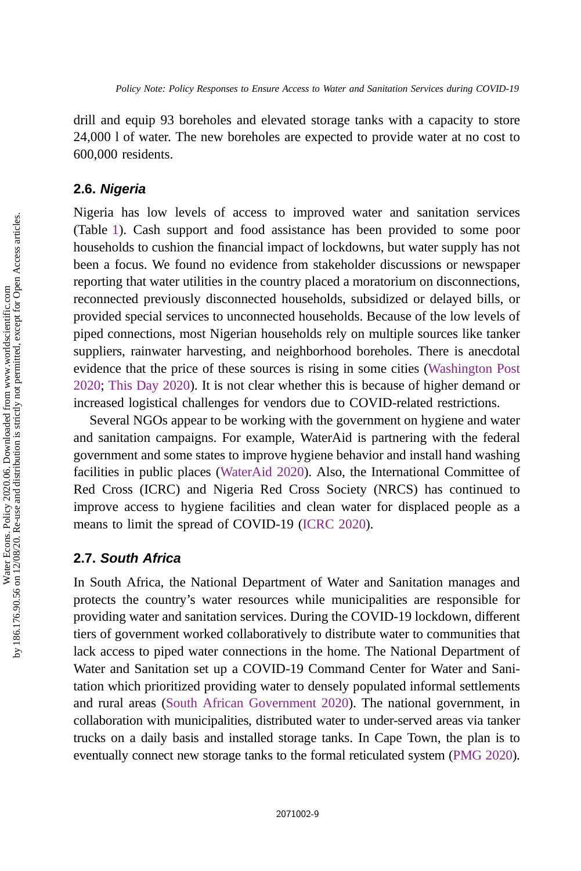drill and equip 93 boreholes and elevated storage tanks with a capacity to store 24,000 l of water. The new boreholes are expected to provide water at no cost to 600,000 residents.

#### 2.6. Nigeria

Nigeria has low levels of access to improved water and sanitation services (Table [1\)](#page-2-0). Cash support and food assistance has been provided to some poor households to cushion the financial impact of lockdowns, but water supply has not been a focus. We found no evidence from stakeholder discussions or newspaper reporting that water utilities in the country placed a moratorium on disconnections, reconnected previously disconnected households, subsidized or delayed bills, or provided special services to unconnected households. Because of the low levels of piped connections, most Nigerian households rely on multiple sources like tanker suppliers, rainwater harvesting, and neighborhood boreholes. There is anecdotal evidence that the price of these sources is rising in some cities [\(Washington Post](#page-12-0) [2020](#page-12-0); [This Day 2020](#page-12-0)). It is not clear whether this is because of higher demand or increased logistical challenges for vendors due to COVID-related restrictions.

Several NGOs appear to be working with the government on hygiene and water and sanitation campaigns. For example, WaterAid is partnering with the federal government and some states to improve hygiene behavior and install hand washing facilities in public places ([WaterAid 2020](#page-12-0)). Also, the International Committee of Red Cross (ICRC) and Nigeria Red Cross Society (NRCS) has continued to improve access to hygiene facilities and clean water for displaced people as a means to limit the spread of COVID-19 ([ICRC 2020\)](#page-12-0).

#### 2.7. South Africa

In South Africa, the National Department of Water and Sanitation manages and protects the country's water resources while municipalities are responsible for providing water and sanitation services. During the COVID-19 lockdown, different tiers of government worked collaboratively to distribute water to communities that lack access to piped water connections in the home. The National Department of Water and Sanitation set up a COVID-19 Command Center for Water and Sanitation which prioritized providing water to densely populated informal settlements and rural areas ([South African Government 2020](#page-12-0)). The national government, in collaboration with municipalities, distributed water to under-served areas via tanker trucks on a daily basis and installed storage tanks. In Cape Town, the plan is to eventually connect new storage tanks to the formal reticulated system [\(PMG 2020](#page-12-0)).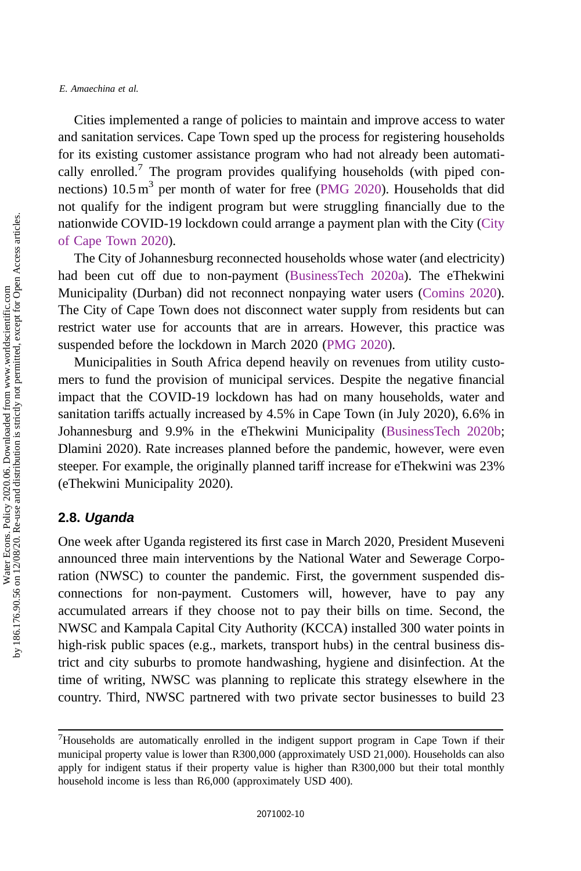#### E. Amaechina et al.

Cities implemented a range of policies to maintain and improve access to water and sanitation services. Cape Town sped up the process for registering households for its existing customer assistance program who had not already been automatically enrolled.<sup>7</sup> The program provides qualifying households (with piped connections)  $10.5 \text{ m}^3$  per month of water for free [\(PMG 2020\)](#page-12-0). Households that did not qualify for the indigent program but were struggling financially due to the nationwide COVID-19 lockdown could arrange a payment plan with the City [\(City](#page-11-0) [of Cape Town 2020\)](#page-11-0).

The City of Johannesburg reconnected households whose water (and electricity) had been cut off due to non-payment ([BusinessTech 2020a\)](#page-11-0). The eThekwini Municipality (Durban) did not reconnect nonpaying water users ([Comins 2020\)](#page-11-0). The City of Cape Town does not disconnect water supply from residents but can restrict water use for accounts that are in arrears. However, this practice was suspended before the lockdown in March 2020 [\(PMG 2020\)](#page-12-0).

Municipalities in South Africa depend heavily on revenues from utility customers to fund the provision of municipal services. Despite the negative financial impact that the COVID-19 lockdown has had on many households, water and sanitation tariffs actually increased by 4.5% in Cape Town (in July 2020), 6.6% in Johannesburg and 9.9% in the eThekwini Municipality [\(BusinessTech 2020b;](#page-11-0) Dlamini 2020). Rate increases planned before the pandemic, however, were even steeper. For example, the originally planned tariff increase for eThekwini was 23% (eThekwini Municipality 2020).

#### 2.8. Uganda

One week after Uganda registered its first case in March 2020, President Museveni announced three main interventions by the National Water and Sewerage Corporation (NWSC) to counter the pandemic. First, the government suspended disconnections for non-payment. Customers will, however, have to pay any accumulated arrears if they choose not to pay their bills on time. Second, the NWSC and Kampala Capital City Authority (KCCA) installed 300 water points in high-risk public spaces (e.g., markets, transport hubs) in the central business district and city suburbs to promote handwashing, hygiene and disinfection. At the time of writing, NWSC was planning to replicate this strategy elsewhere in the country. Third, NWSC partnered with two private sector businesses to build 23

 $7$ Households are automatically enrolled in the indigent support program in Cape Town if their municipal property value is lower than R300,000 (approximately USD 21,000). Households can also apply for indigent status if their property value is higher than R300,000 but their total monthly household income is less than R6,000 (approximately USD 400).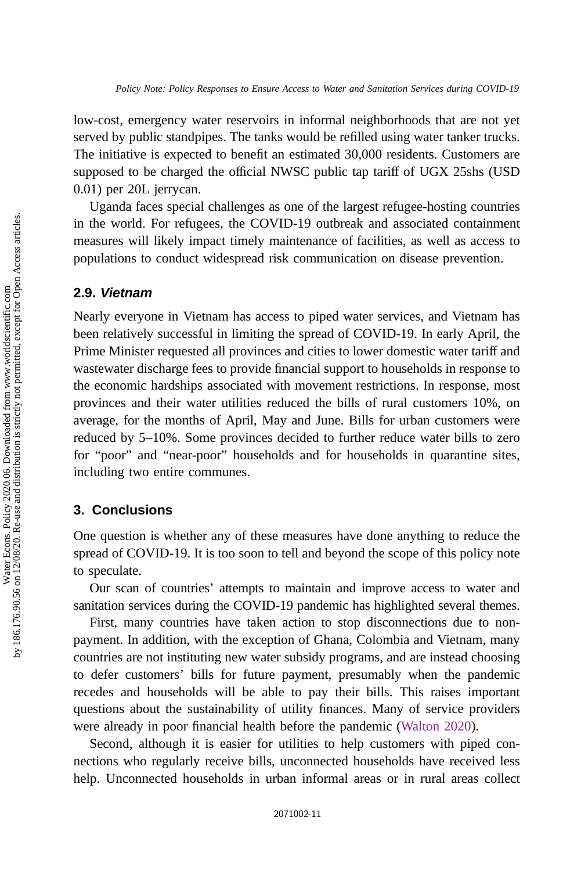low-cost, emergency water reservoirs in informal neighborhoods that are not yet served by public standpipes. The tanks would be refilled using water tanker trucks. The initiative is expected to benefit an estimated 30,000 residents. Customers are supposed to be charged the official NWSC public tap tariff of UGX 25shs (USD 0.01) per 20L jerrycan.

Uganda faces special challenges as one of the largest refugee-hosting countries in the world. For refugees, the COVID-19 outbreak and associated containment measures will likely impact timely maintenance of facilities, as well as access to populations to conduct widespread risk communication on disease prevention.

#### 2.9. Vietnam

Nearly everyone in Vietnam has access to piped water services, and Vietnam has been relatively successful in limiting the spread of COVID-19. In early April, the Prime Minister requested all provinces and cities to lower domestic water tariff and wastewater discharge fees to provide financial support to households in response to the economic hardships associated with movement restrictions. In response, most provinces and their water utilities reduced the bills of rural customers 10%, on average, for the months of April, May and June. Bills for urban customers were reduced by 5–10%. Some provinces decided to further reduce water bills to zero for "poor" and "near-poor" households and for households in quarantine sites, including two entire communes.

#### 3. Conclusions

One question is whether any of these measures have done anything to reduce the spread of COVID-19. It is too soon to tell and beyond the scope of this policy note to speculate.

Our scan of countries' attempts to maintain and improve access to water and sanitation services during the COVID-19 pandemic has highlighted several themes.

First, many countries have taken action to stop disconnections due to nonpayment. In addition, with the exception of Ghana, Colombia and Vietnam, many countries are not instituting new water subsidy programs, and are instead choosing to defer customers' bills for future payment, presumably when the pandemic recedes and households will be able to pay their bills. This raises important questions about the sustainability of utility finances. Many of service providers were already in poor financial health before the pandemic [\(Walton 2020\)](#page-12-0).

Second, although it is easier for utilities to help customers with piped connections who regularly receive bills, unconnected households have received less help. Unconnected households in urban informal areas or in rural areas collect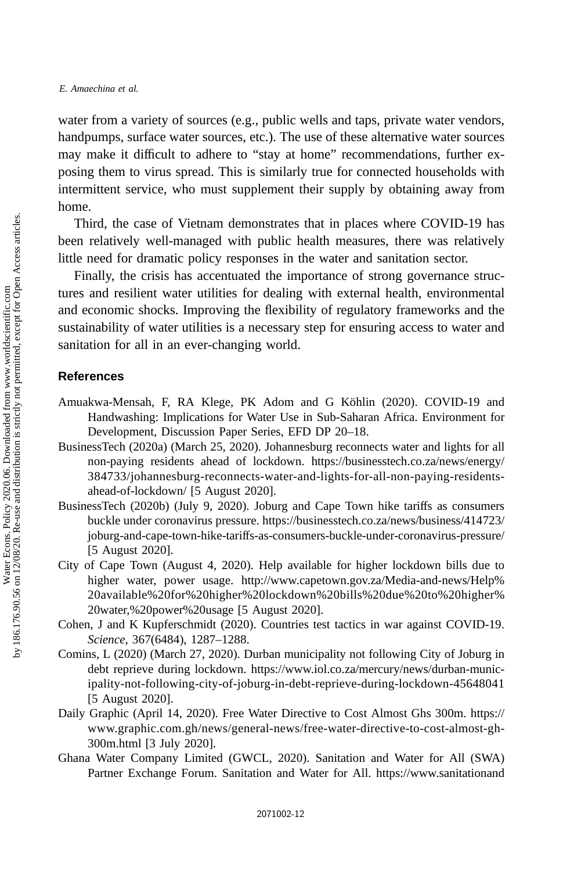<span id="page-11-0"></span>water from a variety of sources (e.g., public wells and taps, private water vendors, handpumps, surface water sources, etc.). The use of these alternative water sources may make it difficult to adhere to "stay at home" recommendations, further exposing them to virus spread. This is similarly true for connected households with intermittent service, who must supplement their supply by obtaining away from home.

Third, the case of Vietnam demonstrates that in places where COVID-19 has been relatively well-managed with public health measures, there was relatively little need for dramatic policy responses in the water and sanitation sector.

Finally, the crisis has accentuated the importance of strong governance structures and resilient water utilities for dealing with external health, environmental and economic shocks. Improving the flexibility of regulatory frameworks and the sustainability of water utilities is a necessary step for ensuring access to water and sanitation for all in an ever-changing world.

#### References

- Amuakwa-Mensah, F, RA Klege, PK Adom and G Köhlin (2020). COVID-19 and Handwashing: Implications for Water Use in Sub-Saharan Africa. Environment for Development, Discussion Paper Series, EFD DP 20–18.
- BusinessTech (2020a) (March 25, 2020). Johannesburg reconnects water and lights for all non-paying residents ahead of lockdown. https://businesstech.co.za/news/energy/ 384733/johannesburg-reconnects-water-and-lights-for-all-non-paying-residentsahead-of-lockdown/ [5 August 2020].
- BusinessTech (2020b) (July 9, 2020). Joburg and Cape Town hike tariffs as consumers buckle under coronavirus pressure. https://businesstech.co.za/news/business/414723/ joburg-and-cape-town-hike-tariffs-as-consumers-buckle-under-coronavirus-pressure/ [5 August 2020].
- City of Cape Town (August 4, 2020). Help available for higher lockdown bills due to higher water, power usage. http://www.capetown.gov.za/Media-and-news/Help% 20available%20for%20higher%20lockdown%20bills%20due%20to%20higher% 20water,%20power%20usage [5 August 2020].
- Cohen, J and K Kupferschmidt (2020). Countries test tactics in war against COVID-19. Science, 367(6484), 1287–1288.
- Comins, L (2020) (March 27, 2020). Durban municipality not following City of Joburg in debt reprieve during lockdown. https://www.iol.co.za/mercury/news/durban-municipality-not-following-city-of-joburg-in-debt-reprieve-during-lockdown-45648041 [5 August 2020].
- Daily Graphic (April 14, 2020). Free Water Directive to Cost Almost Ghs 300m. https:// www.graphic.com.gh/news/general-news/free-water-directive-to-cost-almost-gh-300m.html [3 July 2020].
- Ghana Water Company Limited (GWCL, 2020). Sanitation and Water for All (SWA) Partner Exchange Forum. Sanitation and Water for All. https://www.sanitationand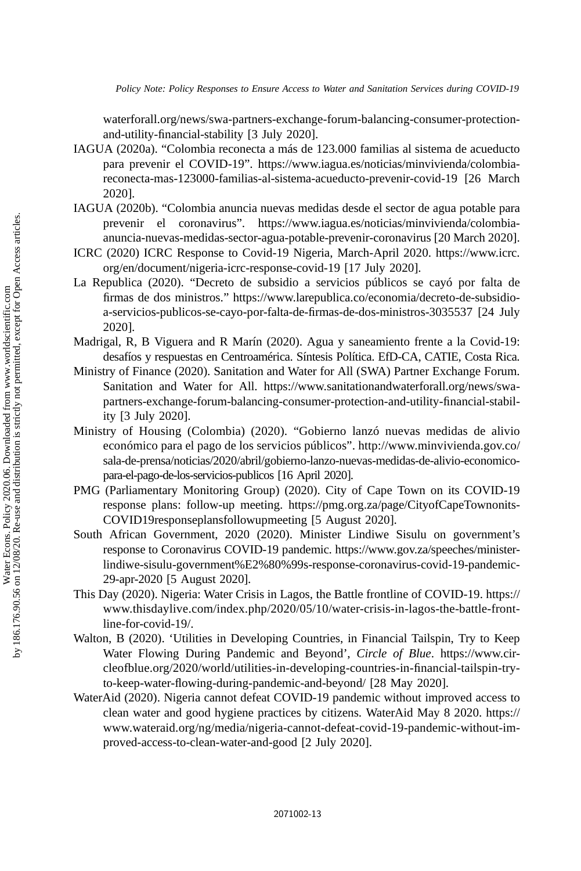<span id="page-12-0"></span>Policy Note: Policy Responses to Ensure Access to Water and Sanitation Services during COVID-19

waterforall.org/news/swa-partners-exchange-forum-balancing-consumer-protectionand-utility-financial-stability [3 July 2020].

- IAGUA (2020a). "Colombia reconecta a más de 123.000 familias al sistema de acueducto para prevenir el COVID-19". https://www.iagua.es/noticias/minvivienda/colombiareconecta-mas-123000-familias-al-sistema-acueducto-prevenir-covid-19 [26 March 2020].
- IAGUA (2020b). "Colombia anuncia nuevas medidas desde el sector de agua potable para prevenir el coronavirus". https://www.iagua.es/noticias/minvivienda/colombiaanuncia-nuevas-medidas-sector-agua-potable-prevenir-coronavirus [20 March 2020].
- ICRC (2020) ICRC Response to Covid-19 Nigeria, March-April 2020. https://www.icrc. org/en/document/nigeria-icrc-response-covid-19 [17 July 2020].
- La Republica (2020). "Decreto de subsidio a servicios públicos se cayó por falta de firmas de dos ministros." https://www.larepublica.co/economia/decreto-de-subsidioa-servicios-publicos-se-cayo-por-falta-de-firmas-de-dos-ministros-3035537 [24 July 2020].
- Madrigal, R, B Viguera and R Marín (2020). Agua y saneamiento frente a la Covid-19: desafíos y respuestas en Centroamérica. Síntesis Política. EfD-CA, CATIE, Costa Rica.
- Ministry of Finance (2020). Sanitation and Water for All (SWA) Partner Exchange Forum. Sanitation and Water for All. https://www.sanitationandwaterforall.org/news/swapartners-exchange-forum-balancing-consumer-protection-and-utility-financial-stability [3 July 2020].
- Ministry of Housing (Colombia) (2020). "Gobierno lanzó nuevas medidas de alivio económico para el pago de los servicios públicos". http://www.minvivienda.gov.co/ sala-de-prensa/noticias/2020/abril/gobierno-lanzo-nuevas-medidas-de-alivio-economicopara-el-pago-de-los-servicios-publicos [16 April 2020].
- PMG (Parliamentary Monitoring Group) (2020). City of Cape Town on its COVID-19 response plans: follow-up meeting. https://pmg.org.za/page/CityofCapeTownonits-COVID19responseplansfollowupmeeting [5 August 2020].
- South African Government, 2020 (2020). Minister Lindiwe Sisulu on government's response to Coronavirus COVID-19 pandemic. https://www.gov.za/speeches/ministerlindiwe-sisulu-government%E2%80%99s-response-coronavirus-covid-19-pandemic-29-apr-2020 [5 August 2020].
- This Day (2020). Nigeria: Water Crisis in Lagos, the Battle frontline of COVID-19. https:// www.thisdaylive.com/index.php/2020/05/10/water-crisis-in-lagos-the-battle-frontline-for-covid-19/.
- Walton, B (2020). 'Utilities in Developing Countries, in Financial Tailspin, Try to Keep Water Flowing During Pandemic and Beyond', Circle of Blue. https://www.circleofblue.org/2020/world/utilities-in-developing-countries-in-financial-tailspin-tryto-keep-water-flowing-during-pandemic-and-beyond/ [28 May 2020].
- WaterAid (2020). Nigeria cannot defeat COVID-19 pandemic without improved access to clean water and good hygiene practices by citizens. WaterAid May 8 2020. https:// www.wateraid.org/ng/media/nigeria-cannot-defeat-covid-19-pandemic-without-improved-access-to-clean-water-and-good [2 July 2020].